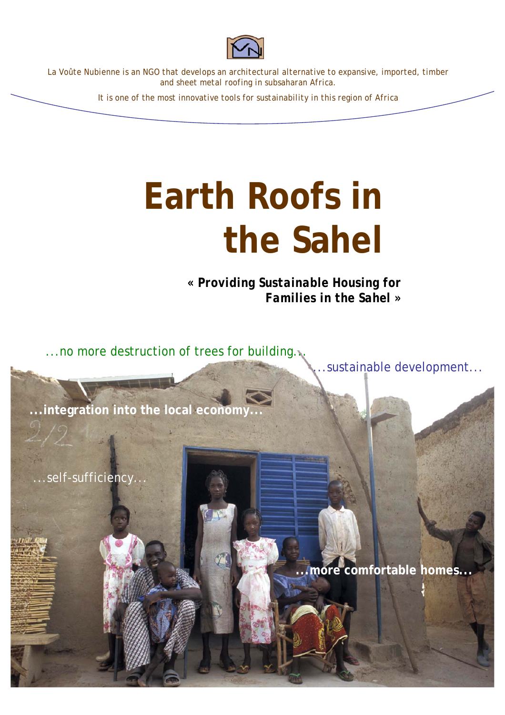

*La Voûte Nubienne is an NGO that develops an architectural alternative to expansive, imported, timber and sheet metal roofing in subsaharan Africa.*

*It is one of the most innovative tools for sustainability in this region of Africa*

# **Earth Roofs in the Sahel**

*« Providing Sustainable Housing for Families in the Sahel »*

...no more destruction of trees for building...

...sustainable development...

**...integration into the local economy...**

...self-sufficiency...

**...more comfortable homes...**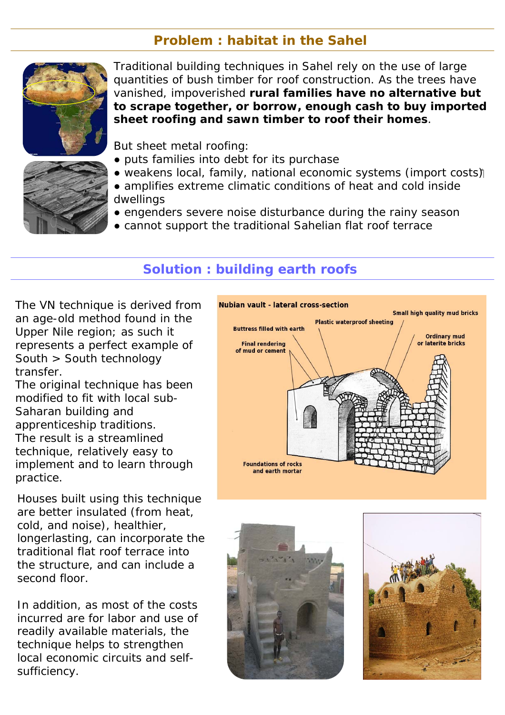# **Problem : habitat in the Sahel**



Traditional building techniques in Sahel rely on the use of large quantities of bush timber for roof construction. As the trees have vanished, impoverished **rural families have no alternative but to scrape together, or borrow, enough cash to buy imported sheet roofing and sawn timber to roof their homes**.

But sheet metal roofing:

- puts families into debt for its purchase
- weakens local, family, national economic systems (import costs)
- amplifies extreme climatic conditions of heat and cold inside dwellings
	- engenders severe noise disturbance during the rainy season
- cannot support the traditional Sahelian flat roof terrace

## **Solution : building earth roofs**

The VN technique is derived from an age-old method found in the Upper Nile region; as such it represents a perfect example of South > South technology transfer.

The original technique has been modified to fit with local sub-Saharan building and apprenticeship traditions. The result is a streamlined technique, relatively easy to implement and to learn through practice.

Houses built using this technique are better insulated (from heat, cold, and noise), healthier, longerlasting, can incorporate the traditional flat roof terrace into the structure, and can include a second floor.

In addition, as most of the costs incurred are for labor and use of readily available materials, the technique helps to strengthen local economic circuits and selfsufficiency.





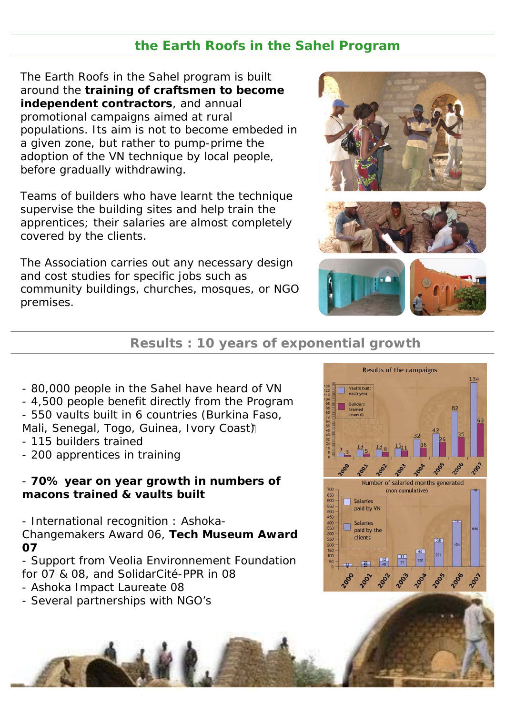# **the Earth Roofs in the Sahel Program**

The *Earth Roofs in the Sahel* program is built around the **training of craftsmen to become independent contractors**, and annual promotional campaigns aimed at rural populations. Its aim is not to become embeded in a given zone, but rather to pump-prime the adoption of the VN technique by local people, before gradually withdrawing.

Teams of builders who have learnt the technique supervise the building sites and help train the apprentices; their salaries are almost completely covered by the clients.

The Association carries out any necessary design and cost studies for specific jobs such as community buildings, churches, mosques, or NGO premises.







## **Results : 10 years of exponential growth**

- 80,000 people in the Sahel have heard of VN - 4,500 people benefit directly from the Program - 550 vaults built in 6 countries (Burkina Faso, Mali, Senegal, Togo, Guinea, Ivory Coast)
- 115 builders trained
- 200 apprentices in training

## - **70% year on year growth in numbers of macons trained & vaults built**

- International recognition : Ashoka-Changemakers Award 06, **Tech Museum Award 07**

- Support from Veolia Environnement Foundation for 07 & 08, and SolidarCité-PPR in 08

- Ashoka Impact Laureate 08
- Several partnerships with NGO's